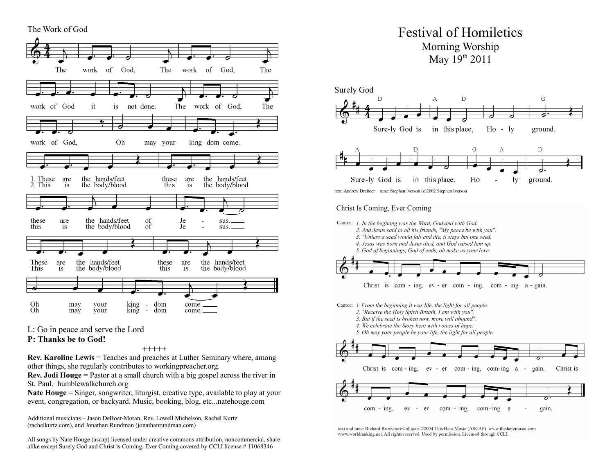

L: Go in peace and serve the Lord

#### **P: Thanks be to God!**

**+++++**

**Rev. Karoline Lewis** = Teaches and preaches at Luther Seminary where, among other things, she regularly contributes to workingpreacher.org.

**Rev. Jodi Houge** = Pastor at a small church with a big gospel across the river in St. Paul. humblewalkchurch.org

**Nate Houge** = Singer, songwriter, liturgist, creative type, available to play at your event, congregation, or backyard. Music, booking, blog, etc...natehouge.com

Additional musicians – Jason DeBoer-Moran, Rev. Lowell Michelson, Rachel Kurtz (rachelkurtz.com), and Jonathan Rundman (jonathanrundman.com)

All songs by Nate Houge (ascap) licensed under creative commons attribution, noncommercial, share alike except Surely God and Christ is Coming, Ever Coming covered by CCLI license # 11068346

# Festival of Homiletics Morning Worship May  $19^{th}$  2011



text: Andrew Dreitcer tune: Stephen Iverson (c)2002 Stephen Iverson

## Christ Is Coming, Ever Coming



- 2. And Jesus said to all his friends. "My peace be with you".
- 3. "Unless a seed would fall and die, it stays but one seed.
- 4. Jesus was born and Jesus died, and God raised him up.
- 5. God of beginnings, God of ends, oh make us your love.



Cantor: 1. From the beginning it was life, the light for all people.

- 2. "Receive the Holy Spirit Breath. I am with you".
- 3. But if the seed is broken now, more will abound".
- 4. We celebrate the Story here with voices of hope.





text and tune: Richard Bruxvoort Colligan ©2004 This Here Music (ASCAP) www.thisheremusic.com www.worldmaking.net. All rights reserved. Used by permission. Licensed through CCLI.